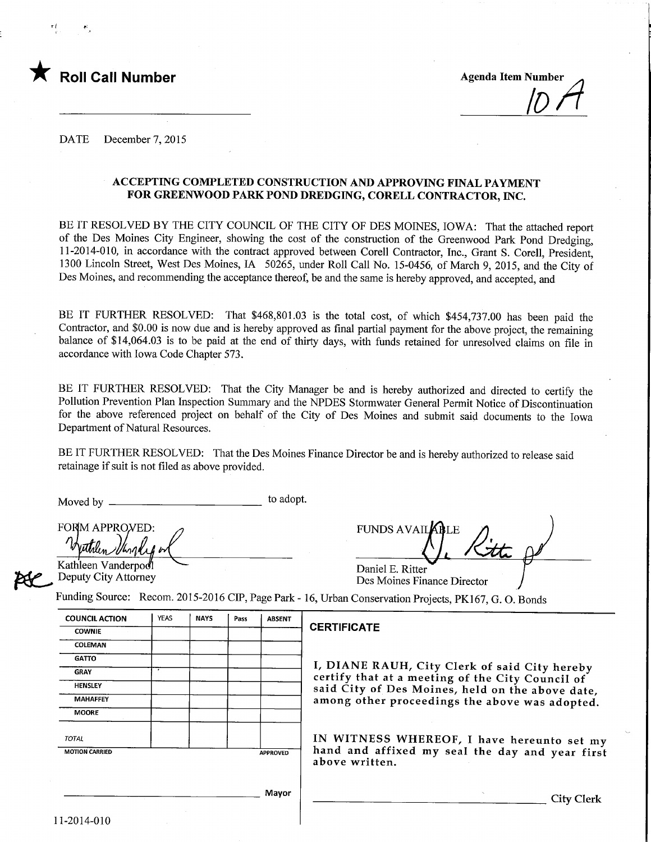

Roll Call Number Agenda Item Number Agenda Item Number (1989)<br>
Agenda Item Number (1989)

DATE December 7, 2015

## ACCEPTING COMPLETED CONSTRUCTION AND APPROVING FINAL PAYMENT FOR GREENWOOD PARK POND DREDGING, CORELL CONTRACTOR, INC.

BE IT RESOLVED BY THE CITY COUNCIL OF THE CITY OF DES MOINES, IOWA: That the attached report of the Des Moines City Engineer, showing the cost of the construction of the Greenwood Park Pond Dredging, 11-2014-010, in accordance with the contract approved between Corell Contractor, Inc., Grant S. Corell, President, 1300 Lincoln Street, West Des Moines, IA 50265, under Roll Call No. 15-0456, of March 9, 2015, and the City of Des Moines, and recommending the acceptance thereof, be and the same is hereby approved, and accepted, and

BE IT FURTHER RESOLVED: That \$468,801.03 is the total cost, of which \$454,737.00 has been paid the Contractor, and \$0.00 is now due and is hereby approved as final partial payment for the above project, the remaining balance of \$14,064.03 is to be paid at the end of thirty days, with funds retained for unresolved claims on file in accordance with Iowa Code Chapter 573.

BE IT FURTHER RESOLVED: That the City Manager be and is hereby authorized and directed to certify the Pollution Prevention Plan Inspection Summary and the NPDES Stormwater General Permit Notice of Discontinuation for the above referenced project on behalf of the City of Des Moines and submit said documents to the Iowa Department of Natural Resources.

BE IT FURTHER RESOLVED: That the Des Moines Finance Director be and is hereby authorized to release said retainage if suit is not filed as above provided.

Moved by to adopt.

FORM APPROVED:  $\frac{m\pi}{k}$ 

Kathleen Vanderpod Deputy City Attorney

| FUNDS AVAILABLE                       |  |
|---------------------------------------|--|
| $\textsf{Daniel E}$ $\textsf{Pitter}$ |  |

Daniel E. Ritter Des Moines Finance Director

Unding Source: Recom. 2015-2016 CIP, Page Park - 16, Urban Conservation Projects, PK167, G. O. Bonds

| <b>COUNCIL ACTION</b> | <b>YEAS</b> | <b>NAYS</b> | Pass                                             | <b>ABSENT</b>   |                                                                                                   |  |  |
|-----------------------|-------------|-------------|--------------------------------------------------|-----------------|---------------------------------------------------------------------------------------------------|--|--|
| <b>COWNIE</b>         |             |             |                                                  |                 | <b>CERTIFICATE</b>                                                                                |  |  |
| COLEMAN               |             |             |                                                  |                 |                                                                                                   |  |  |
| <b>GATTO</b>          |             |             |                                                  |                 |                                                                                                   |  |  |
| <b>GRAY</b>           |             |             |                                                  |                 | I, DIANE RAUH, City Clerk of said City hereby<br>certify that at a meeting of the City Council of |  |  |
| HENSLEY               |             |             | said City of Des Moines, held on the above date, |                 |                                                                                                   |  |  |
| <b>MAHAFFEY</b>       |             |             |                                                  |                 | among other proceedings the above was adopted.                                                    |  |  |
| <b>MOORE</b>          |             |             |                                                  |                 |                                                                                                   |  |  |
| <b>TOTAL</b>          |             |             |                                                  |                 | IN WITNESS WHEREOF, I have hereunto set my                                                        |  |  |
| <b>MOTION CARRIED</b> |             |             |                                                  | <b>APPROVED</b> | hand and affixed my seal the day and year first<br>above written.                                 |  |  |
|                       |             |             |                                                  | Mayor           | City Clerk                                                                                        |  |  |
|                       |             |             |                                                  |                 |                                                                                                   |  |  |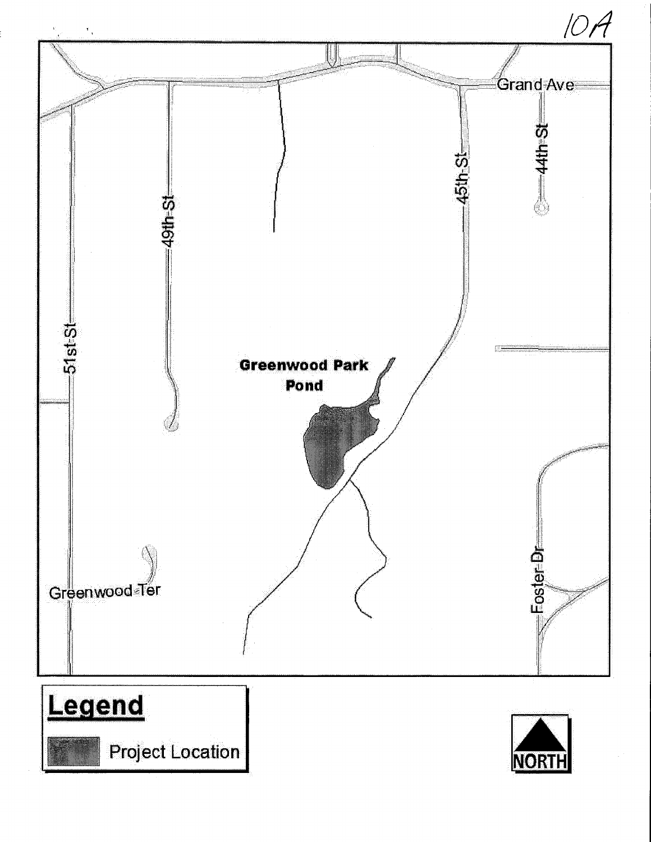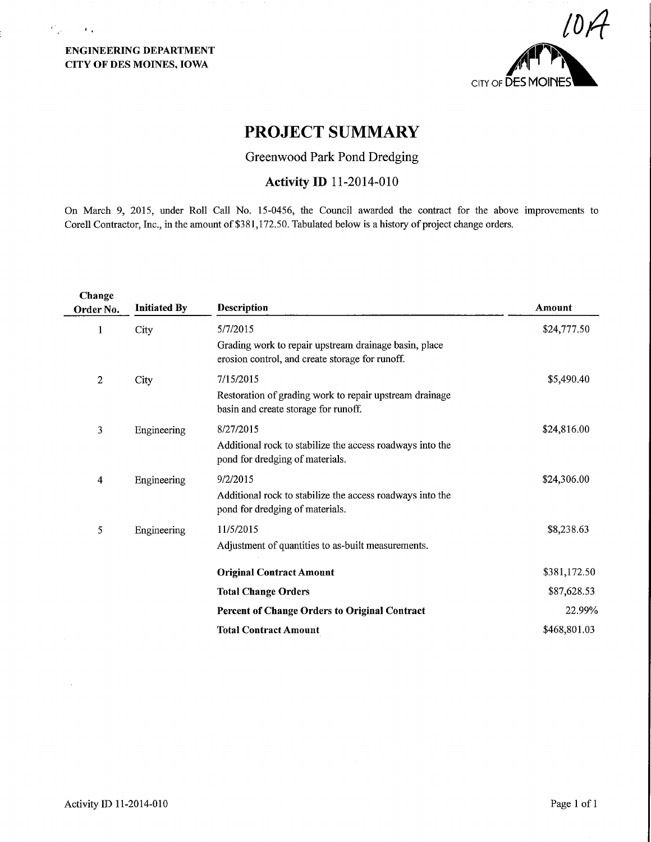ENGINEERING DEPARTMENT CITY OF DES MOINES, IOWA

 $\mathcal{C}_{\mathcal{A}^{\prime}}=\mathcal{A}_{\mathcal{A}}$ 



# PROJECT SUMMARY

Greenwood Park Pond Dredging

## Activity ID 11-2014-010

On March 9, 2015, under Roll Call No. 15-0456, the Council awarded the contract for the above improvements to Corell Contractor, Inc., in the amount of \$381,172.50. Tabulated below is a history of project change orders.

| Change<br>Order No. | <b>Initiated By</b> | <b>Description</b>                                                                                       | Amount       |
|---------------------|---------------------|----------------------------------------------------------------------------------------------------------|--------------|
| 1                   | City                | 5/7/2015                                                                                                 | \$24,777.50  |
|                     |                     | Grading work to repair upstream drainage basin, place<br>erosion control, and create storage for runoff. |              |
| $\overline{2}$      | City                | 7/15/2015                                                                                                | \$5,490.40   |
|                     |                     | Restoration of grading work to repair upstream drainage<br>basin and create storage for runoff.          |              |
| 3                   | Engineering         | 8/27/2015                                                                                                | \$24,816.00  |
|                     |                     | Additional rock to stabilize the access roadways into the<br>pond for dredging of materials.             |              |
| 4                   | Engineering         | 9/2/2015                                                                                                 | \$24,306.00  |
|                     |                     | Additional rock to stabilize the access roadways into the<br>pond for dredging of materials.             |              |
| 5                   | Engineering         | 11/5/2015                                                                                                | \$8,238.63   |
|                     |                     | Adjustment of quantities to as-built measurements.                                                       |              |
|                     |                     | <b>Original Contract Amount</b>                                                                          | \$381,172.50 |
|                     |                     | <b>Total Change Orders</b>                                                                               | \$87,628.53  |
|                     |                     | Percent of Change Orders to Original Contract                                                            | 22.99%       |
|                     |                     | <b>Total Contract Amount</b>                                                                             | \$468,801.03 |
|                     |                     |                                                                                                          |              |

 $\bar{z}$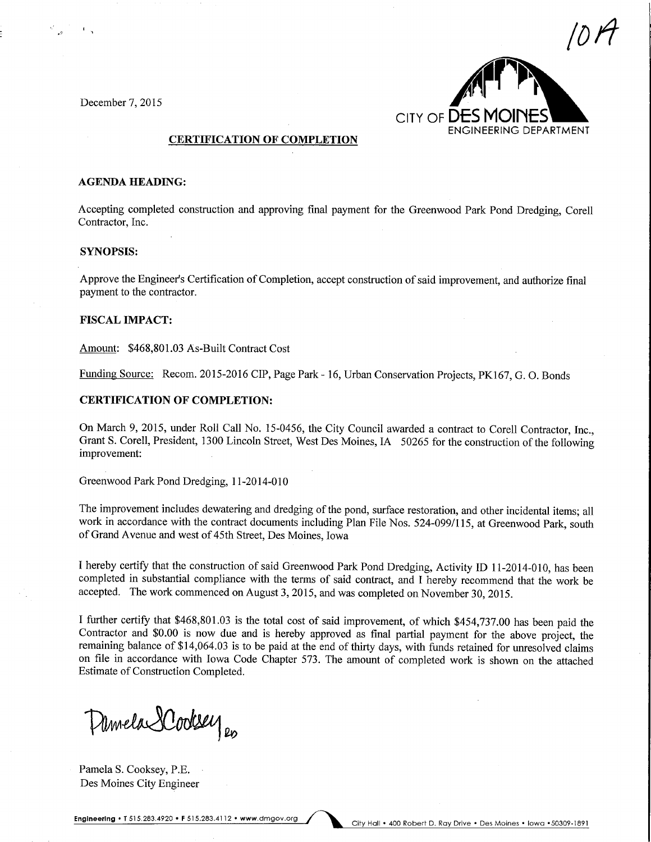December 7, 2015



## CERTIFICATION OF COMPLETION

## AGENDA HEADING:

Accepting completed construction and approving final payment for the Greenwood Park Pond Dredging, Corell Contractor, Inc.

## SYNOPSIS:

Approve the Engineer's Certification of Completion, accept construction of said improvement, and authorize final payment to the contractor.

#### FISCAL IMPACT:

Amount: \$468,801.03 As-Built Contract Cost

Funding Source: Recom. 2015-2016 CIP, Page Park -16, Urban Conservation Projects, PK167, G. 0. Bonds

## CERTIFICATION OF COMPLETION:

On March 9, 2015, under Roll Call No. 15-0456, the City Council awarded a contract to Corell Contractor, Inc., Grant S. Corell, President, 1300 Lincoln Street, West Des Moines, IA 50265 for the construction of the following improvement:

Greenwood Park Pond Dredging, 1 1-2014-010

The improvement includes dewatering and dredging of the pond, surface restoration, and other incidental items; all work in accordance with the contract documents including Plan File Nos. 524-099/115, at Greenwood Park, south of Grand Avenue and west of 45th Street, Des Moines, Iowa

I hereby certify that the construction of said Greenwood Park Pond Dredging, Activity ID 11-2014-010, has been completed in substantial compliance with the terms of said contract, and I hereby recommend that the work be accepted. The work commenced on August 3, 2015, and was completed on November 30, 2015.

I further certify that \$468,801.03 is the total cost of said improvement, of which \$454,737.00 has been paid the Contractor and \$0.00 is now due and is hereby approved as final partial payment for the above project, the remaining balance of \$14,064.03 is to be paid at the end of thirty days, with funds retained for unresolved claims on file in accordance with Iowa Code Chapter 573. The amount of completed work is shown on the attached Estimate of Construction Completed.

Damela Dodsey

Pamela S. Cooksey, P.E. Des Moines City Engineer